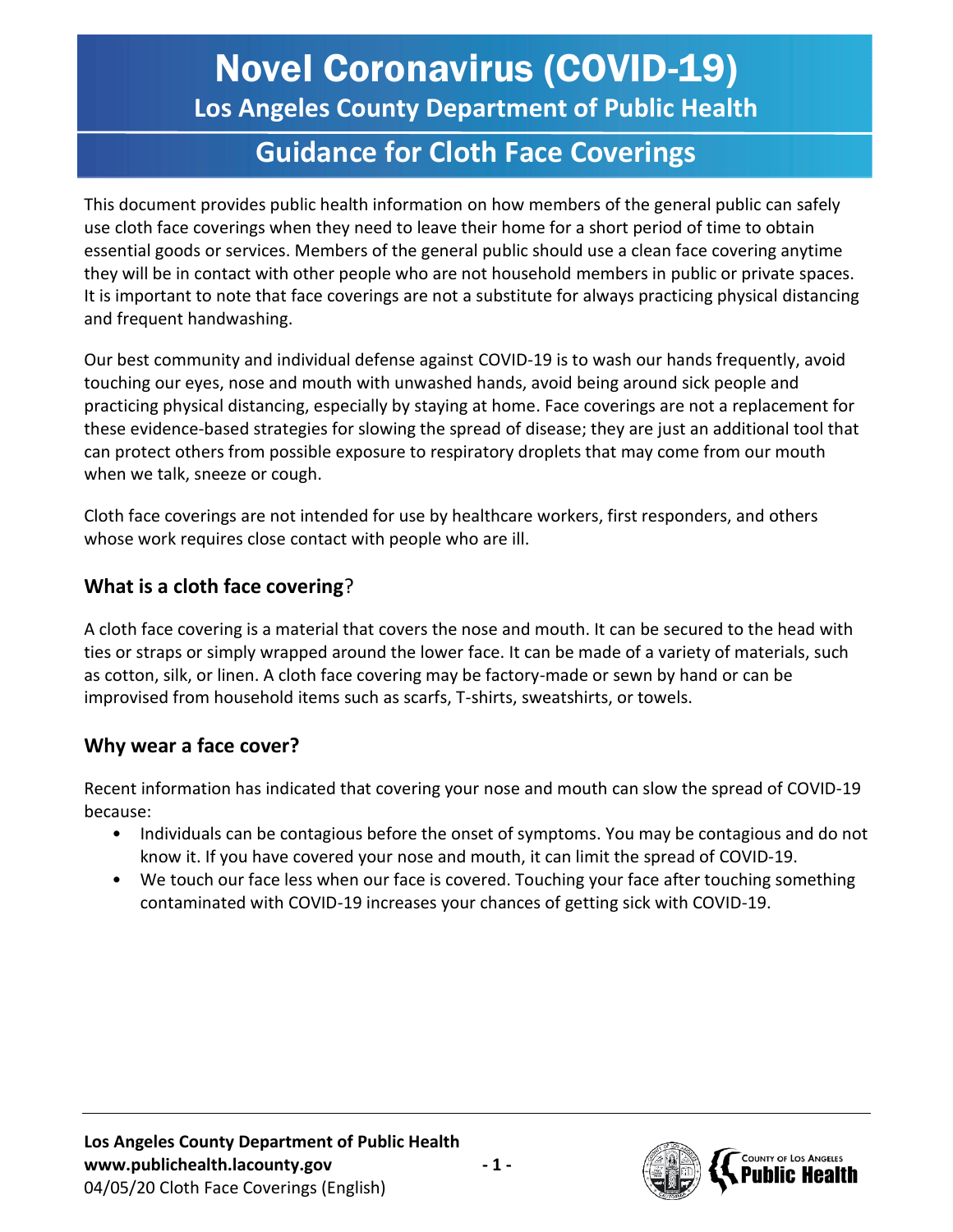# Novel Coronavirus (COVID-19)

**Los Angeles County Department of Public Health**

# **Guidance for Cloth Face Coverings**

This document provides public health information on how members of the general public can safely use cloth face coverings when they need to leave their home for a short period of time to obtain essential goods or services. Members of the general public should use a clean face covering anytime they will be in contact with other people who are not household members in public or private spaces. It is important to note that face coverings are not a substitute for always practicing physical distancing and frequent handwashing.

Our best community and individual defense against COVID-19 is to wash our hands frequently, avoid touching our eyes, nose and mouth with unwashed hands, avoid being around sick people and practicing physical distancing, especially by staying at home. Face coverings are not a replacement for these evidence-based strategies for slowing the spread of disease; they are just an additional tool that can protect others from possible exposure to respiratory droplets that may come from our mouth when we talk, sneeze or cough.

Cloth face coverings are not intended for use by healthcare workers, first responders, and others whose work requires close contact with people who are ill.

## **What is a cloth face covering**?

A cloth face covering is a material that covers the nose and mouth. It can be secured to the head with ties or straps or simply wrapped around the lower face. It can be made of a variety of materials, such as cotton, silk, or linen. A cloth face covering may be factory-made or sewn by hand or can be improvised from household items such as scarfs, T-shirts, sweatshirts, or towels.

#### **Why wear a face cover?**

Recent information has indicated that covering your nose and mouth can slow the spread of COVID-19 because:

- Individuals can be contagious before the onset of symptoms. You may be contagious and do not know it. If you have covered your nose and mouth, it can limit the spread of COVID-19.
- We touch our face less when our face is covered. Touching your face after touching something contaminated with COVID-19 increases your chances of getting sick with COVID-19.

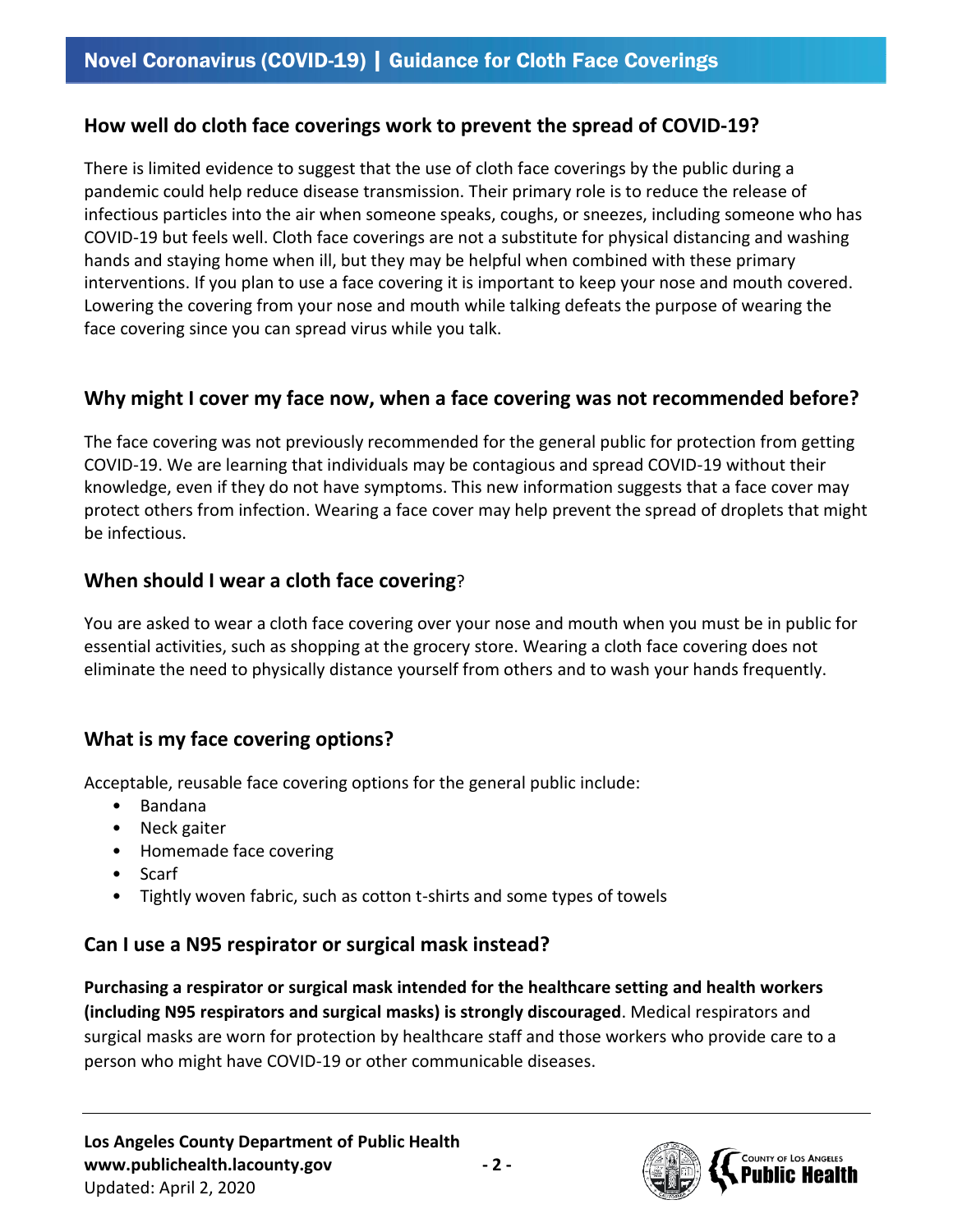#### **How well do cloth face coverings work to prevent the spread of COVID-19?**

There is limited evidence to suggest that the use of cloth face coverings by the public during a pandemic could help reduce disease transmission. Their primary role is to reduce the release of infectious particles into the air when someone speaks, coughs, or sneezes, including someone who has COVID-19 but feels well. Cloth face coverings are not a substitute for physical distancing and washing hands and staying home when ill, but they may be helpful when combined with these primary interventions. If you plan to use a face covering it is important to keep your nose and mouth covered. Lowering the covering from your nose and mouth while talking defeats the purpose of wearing the face covering since you can spread virus while you talk.

#### **Why might I cover my face now, when a face covering was not recommended before?**

The face covering was not previously recommended for the general public for protection from getting COVID-19. We are learning that individuals may be contagious and spread COVID-19 without their knowledge, even if they do not have symptoms. This new information suggests that a face cover may protect others from infection. Wearing a face cover may help prevent the spread of droplets that might be infectious.

#### **When should I wear a cloth face covering**?

You are asked to wear a cloth face covering over your nose and mouth when you must be in public for essential activities, such as shopping at the grocery store. Wearing a cloth face covering does not eliminate the need to physically distance yourself from others and to wash your hands frequently.

## **What is my face covering options?**

Acceptable, reusable face covering options for the general public include:

- Bandana
- Neck gaiter
- Homemade face covering
- Scarf
- Tightly woven fabric, such as cotton t-shirts and some types of towels

#### **Can I use a N95 respirator or surgical mask instead?**

**Purchasing a respirator or surgical mask intended for the healthcare setting and health workers (including N95 respirators and surgical masks) is strongly discouraged**. Medical respirators and surgical masks are worn for protection by healthcare staff and those workers who provide care to a person who might have COVID-19 or other communicable diseases.